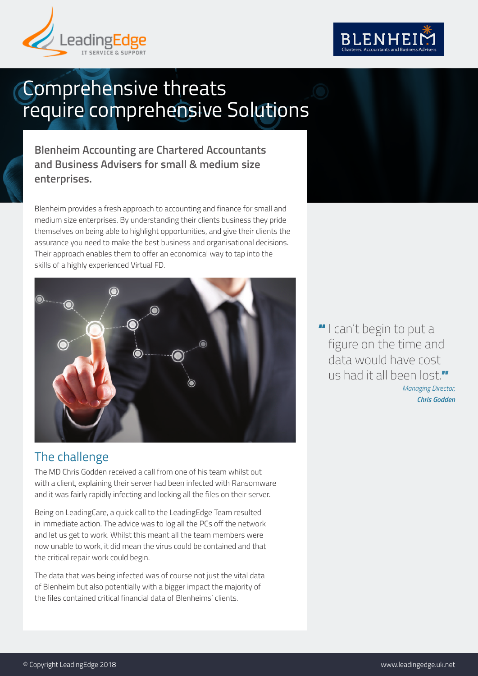



# Comprehensive threats require comprehensive Solutions

**Blenheim Accounting are Chartered Accountants and Business Advisers for small & medium size enterprises.**

Blenheim provides a fresh approach to accounting and finance for small and medium size enterprises. By understanding their clients business they pride themselves on being able to highlight opportunities, and give their clients the assurance you need to make the best business and organisational decisions. Their approach enables them to offer an economical way to tap into the skills of a highly experienced Virtual FD.



## The challenge

The MD Chris Godden received a call from one of his team whilst out with a client, explaining their server had been infected with Ransomware and it was fairly rapidly infecting and locking all the files on their server.

Being on LeadingCare, a quick call to the LeadingEdge Team resulted in immediate action. The advice was to log all the PCs off the network and let us get to work. Whilst this meant all the team members were now unable to work, it did mean the virus could be contained and that the critical repair work could begin.

The data that was being infected was of course not just the vital data of Blenheim but also potentially with a bigger impact the majority of the files contained critical financial data of Blenheims' clients.

" I can't begin to put a figure on the time and data would have cost us had it all been lost." *Managing Director, Chris Godden*